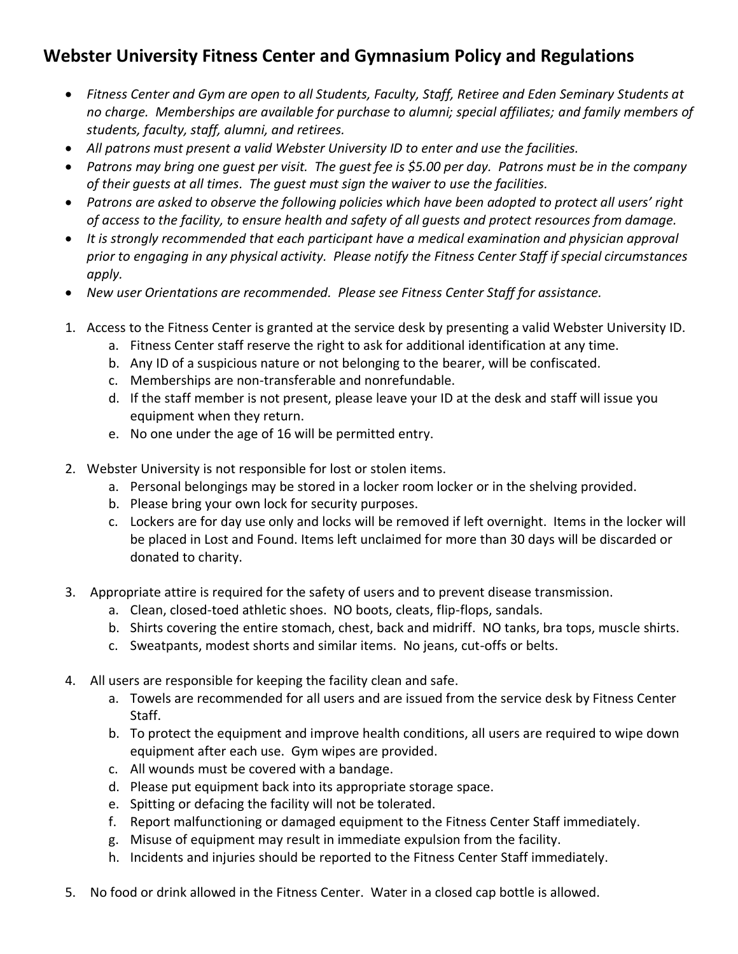## **Webster University Fitness Center and Gymnasium Policy and Regulations**

- *Fitness Center and Gym are open to all Students, Faculty, Staff, Retiree and Eden Seminary Students at no charge. Memberships are available for purchase to alumni; special affiliates; and family members of students, faculty, staff, alumni, and retirees.*
- *All patrons must present a valid Webster University ID to enter and use the facilities.*
- *Patrons may bring one guest per visit. The guest fee is \$5.00 per day. Patrons must be in the company of their guests at all times. The guest must sign the waiver to use the facilities.*
- *Patrons are asked to observe the following policies which have been adopted to protect all users' right of access to the facility, to ensure health and safety of all guests and protect resources from damage.*
- *It is strongly recommended that each participant have a medical examination and physician approval prior to engaging in any physical activity. Please notify the Fitness Center Staff if special circumstances apply.*
- *New user Orientations are recommended. Please see Fitness Center Staff for assistance.*
- 1. Access to the Fitness Center is granted at the service desk by presenting a valid Webster University ID.
	- a. Fitness Center staff reserve the right to ask for additional identification at any time.
	- b. Any ID of a suspicious nature or not belonging to the bearer, will be confiscated.
	- c. Memberships are non-transferable and nonrefundable.
	- d. If the staff member is not present, please leave your ID at the desk and staff will issue you equipment when they return.
	- e. No one under the age of 16 will be permitted entry.
- 2. Webster University is not responsible for lost or stolen items.
	- a. Personal belongings may be stored in a locker room locker or in the shelving provided.
	- b. Please bring your own lock for security purposes.
	- c. Lockers are for day use only and locks will be removed if left overnight. Items in the locker will be placed in Lost and Found. Items left unclaimed for more than 30 days will be discarded or donated to charity.
- 3. Appropriate attire is required for the safety of users and to prevent disease transmission.
	- a. Clean, closed-toed athletic shoes. NO boots, cleats, flip-flops, sandals.
	- b. Shirts covering the entire stomach, chest, back and midriff. NO tanks, bra tops, muscle shirts.
	- c. Sweatpants, modest shorts and similar items. No jeans, cut-offs or belts.
- 4. All users are responsible for keeping the facility clean and safe.
	- a. Towels are recommended for all users and are issued from the service desk by Fitness Center Staff.
	- b. To protect the equipment and improve health conditions, all users are required to wipe down equipment after each use. Gym wipes are provided.
	- c. All wounds must be covered with a bandage.
	- d. Please put equipment back into its appropriate storage space.
	- e. Spitting or defacing the facility will not be tolerated.
	- f. Report malfunctioning or damaged equipment to the Fitness Center Staff immediately.
	- g. Misuse of equipment may result in immediate expulsion from the facility.
	- h. Incidents and injuries should be reported to the Fitness Center Staff immediately.
- 5. No food or drink allowed in the Fitness Center. Water in a closed cap bottle is allowed.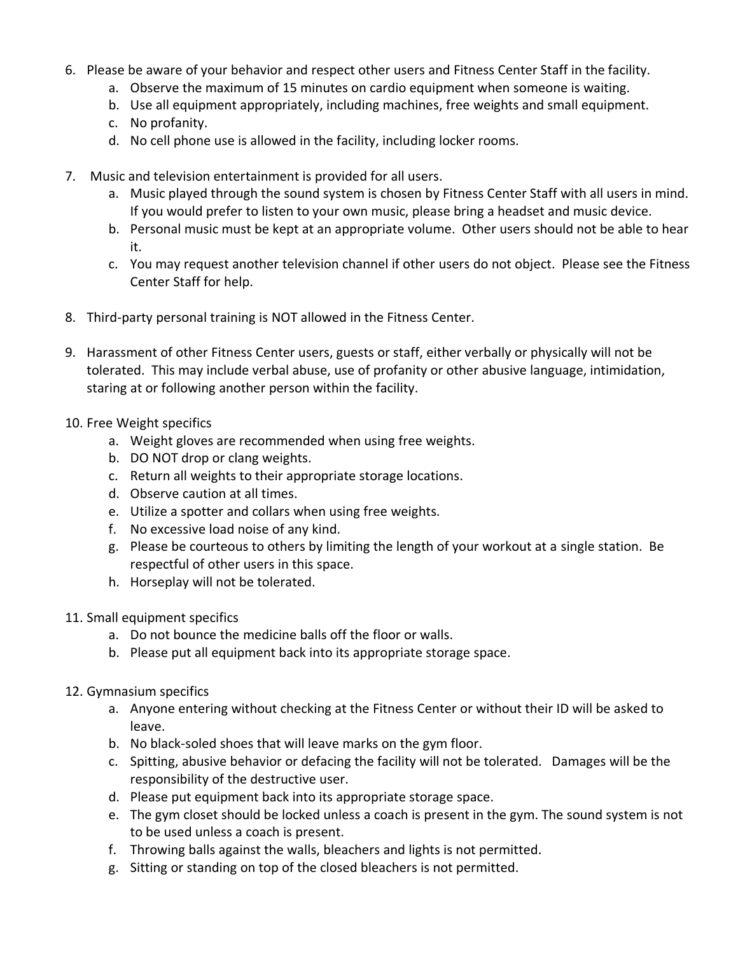- 6. Please be aware of your behavior and respect other users and Fitness Center Staff in the facility.
	- a. Observe the maximum of 15 minutes on cardio equipment when someone is waiting.
	- b. Use all equipment appropriately, including machines, free weights and small equipment.
	- c. No profanity.
	- d. No cell phone use is allowed in the facility, including locker rooms.
- 7. Music and television entertainment is provided for all users.
	- a. Music played through the sound system is chosen by Fitness Center Staff with all users in mind. If you would prefer to listen to your own music, please bring a headset and music device.
	- b. Personal music must be kept at an appropriate volume. Other users should not be able to hear it.
	- c. You may request another television channel if other users do not object. Please see the Fitness Center Staff for help.
- 8. Third-party personal training is NOT allowed in the Fitness Center.
- 9. Harassment of other Fitness Center users, guests or staff, either verbally or physically will not be tolerated. This may include verbal abuse, use of profanity or other abusive language, intimidation, staring at or following another person within the facility.
- 10. Free Weight specifics
	- a. Weight gloves are recommended when using free weights.
	- b. DO NOT drop or clang weights.
	- c. Return all weights to their appropriate storage locations.
	- d. Observe caution at all times.
	- e. Utilize a spotter and collars when using free weights.
	- f. No excessive load noise of any kind.
	- g. Please be courteous to others by limiting the length of your workout at a single station. Be respectful of other users in this space.
	- h. Horseplay will not be tolerated.
- 11. Small equipment specifics
	- a. Do not bounce the medicine balls off the floor or walls.
	- b. Please put all equipment back into its appropriate storage space.
- 12. Gymnasium specifics
	- a. Anyone entering without checking at the Fitness Center or without their ID will be asked to leave.
	- b. No black-soled shoes that will leave marks on the gym floor.
	- c. Spitting, abusive behavior or defacing the facility will not be tolerated. Damages will be the responsibility of the destructive user.
	- d. Please put equipment back into its appropriate storage space.
	- e. The gym closet should be locked unless a coach is present in the gym. The sound system is not to be used unless a coach is present.
	- f. Throwing balls against the walls, bleachers and lights is not permitted.
	- g. Sitting or standing on top of the closed bleachers is not permitted.